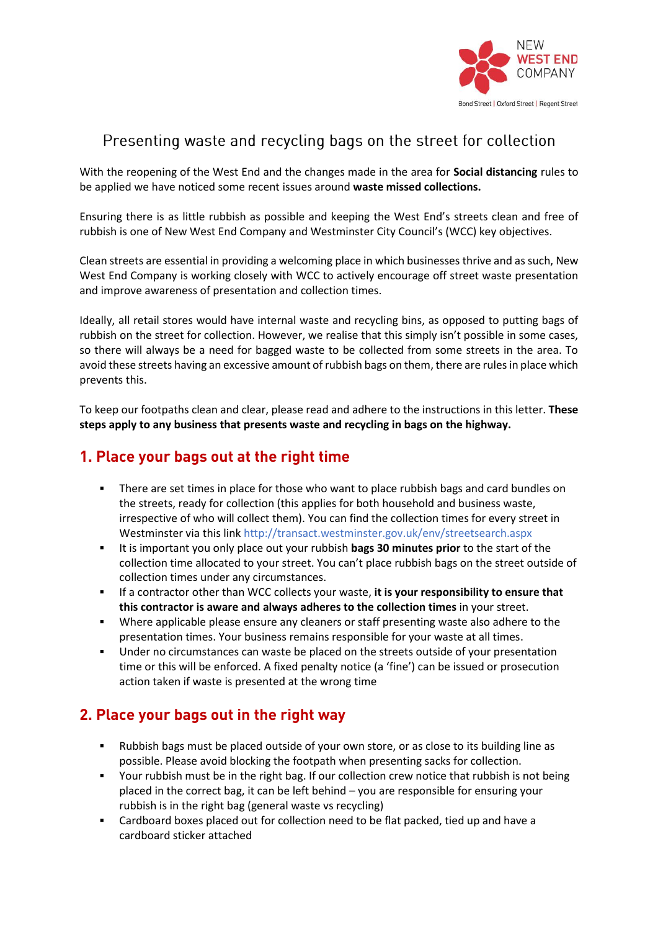

## Presenting waste and recycling bags on the street for collection

With the reopening of the West End and the changes made in the area for **Social distancing** rules to be applied we have noticed some recent issues around **waste missed collections.**

Ensuring there is as little rubbish as possible and keeping the West End's streets clean and free of rubbish is one of New West End Company and Westminster City Council's (WCC) key objectives.

Clean streets are essential in providing a welcoming place in which businesses thrive and as such, New West End Company is working closely with WCC to actively encourage off street waste presentation and improve awareness of presentation and collection times.

Ideally, all retail stores would have internal waste and recycling bins, as opposed to putting bags of rubbish on the street for collection. However, we realise that this simply isn't possible in some cases, so there will always be a need for bagged waste to be collected from some streets in the area. To avoid these streets having an excessive amount of rubbish bags on them, there are rules in place which prevents this.

To keep our footpaths clean and clear, please read and adhere to the instructions in this letter. **These steps apply to any business that presents waste and recycling in bags on the highway.** 

# **1. Place your bags out at the right time**

- **•** There are set times in place for those who want to place rubbish bags and card bundles on the streets, ready for collection (this applies for both household and business waste, irrespective of who will collect them). You can find the collection times for every street in Westminster via this link <http://transact.westminster.gov.uk/env/streetsearch.aspx>
- It is important you only place out your rubbish **bags 30 minutes prior** to the start of the collection time allocated to your street. You can't place rubbish bags on the street outside of collection times under any circumstances.
- If a contractor other than WCC collects your waste, **it is your responsibility to ensure that this contractor is aware and always adheres to the collection times** in your street.
- Where applicable please ensure any cleaners or staff presenting waste also adhere to the presentation times. Your business remains responsible for your waste at all times.
- Under no circumstances can waste be placed on the streets outside of your presentation time or this will be enforced. A fixed penalty notice (a 'fine') can be issued or prosecution action taken if waste is presented at the wrong time

#### **2. Place your bags out in the right way**

- Rubbish bags must be placed outside of your own store, or as close to its building line as possible. Please avoid blocking the footpath when presenting sacks for collection.
- Your rubbish must be in the right bag. If our collection crew notice that rubbish is not being placed in the correct bag, it can be left behind – you are responsible for ensuring your rubbish is in the right bag (general waste vs recycling)
- Cardboard boxes placed out for collection need to be flat packed, tied up and have a cardboard sticker attached